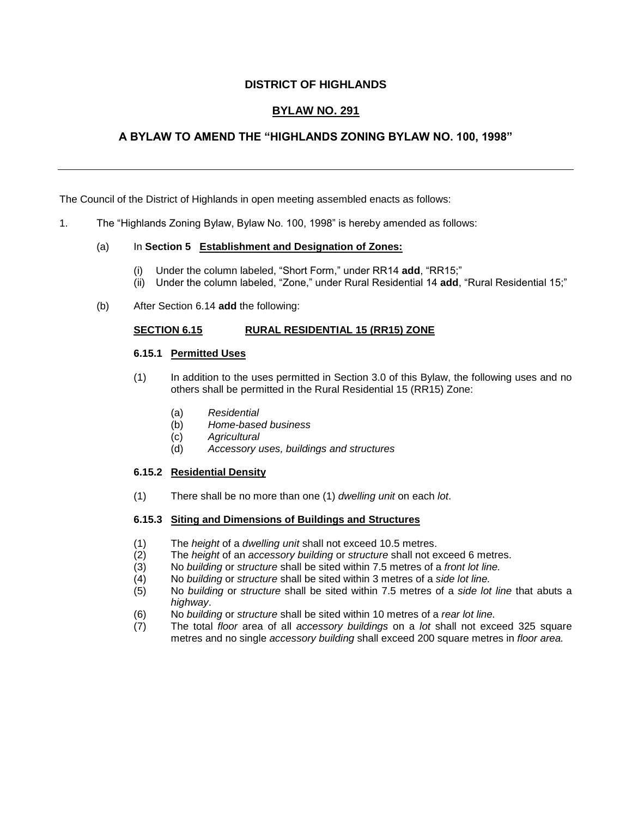## **DISTRICT OF HIGHLANDS**

# **BYLAW NO. 291**

# **ABYLAW TOAMENDTHE"HIGHLANDSZONINGBYLAW NO.100,1998"**

The Council of the District of Highlands in open meeting assembled enacts as follows:

1. The "Highlands Zoning Bylaw, Bylaw No. 100, 1998" is hereby amended as follows:

### (a) In **Section 5 Establishment and Designation of Zones:**

- (i) Under the column labeled, "Short Form," under RR14 add, "RR15;"
- (ii) Under the column labeled, "Zone," under Rural Residential 14 add, "Rural Residential 15;"
- (b) After Section 6.14 **add** the following:

### **SECTION 6.15 RURAL RESIDENTIAL 15 (RR15) ZONE**

### **6.15.1 Permitted Uses**

- (1) In addition to the uses permitted in Section 3.0 of this Bylaw, the following uses and no others shall be permitted in the Rural Residential 15 (RR15) Zone:
	- (a) *Residential*
	- (b) *Home-based business*
	- (c) *Agricultural*
	- (d) *Accessory uses, buildings and structures*

#### **6.15.2 Residential Density**

(1) There shall be no more than one (1) *dwelling unit* on each *lot*.

#### **6.15.3 Siting and Dimensions of Buildings and Structures**

- (1) The *height* of a *dwelling unit* shall not exceed 10.5 metres.
- (2) The *height* of an *accessory building* or *structure* shall not exceed 6 metres.
- (3) No *building* or *structure* shall be sited within 7.5 metres of a *front lot line.*
- (4) No *building* or *structure* shall be sited within 3 metres of a *side lot line.*
- (5) No *building* or *structure* shall be sited within 7.5 metres of a *side lot line* that abuts a *highway*.
- (6) No *building* or *structure* shall be sited within 10 metres of a *rear lot line.*
- (7) The total *floor* area of all *accessory buildings* on a *lot* shall not exceed 325 square metres and no single *accessory building* shall exceed 200 square metres in *floor area.*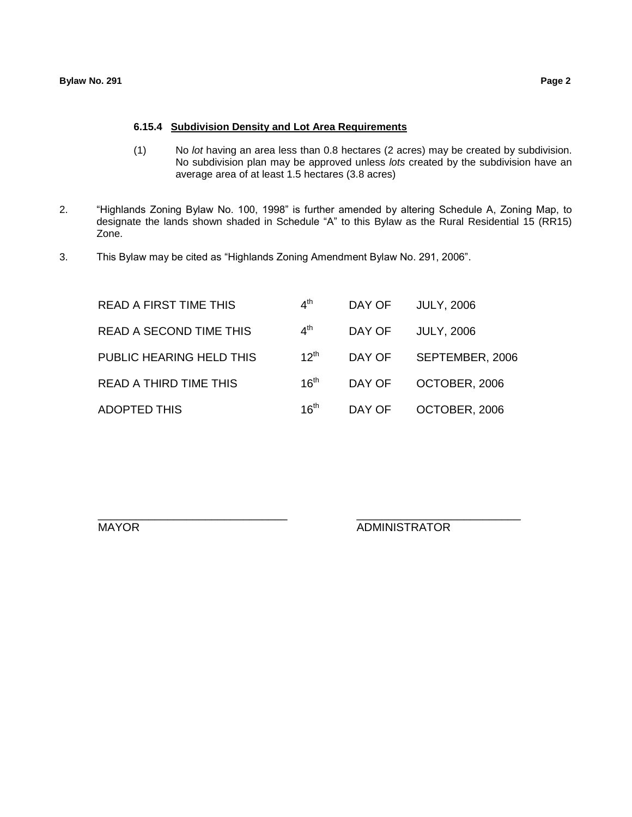#### **6.15.4 Subdivision Density and Lot Area Requirements**

- (1) No *lot* having an area less than 0.8 hectares (2 acres) may be created by subdivision. No subdivision plan may be approved unless *lots* created by the subdivision have an average area of at least 1.5 hectares (3.8 acres)
- 2. "Highlands Zoning Bylaw No. 100, 1998" is further amended by altering Schedule A, Zoning Map, to designate the lands shown shaded in Schedule "A" to this Bylaw as the Rural Residential 15 (RR15) Zone.
- 3. This Bylaw may be cited as "Highlands Zoning Amendment Bylaw No. 291, 2006".

| <b>READ A FIRST TIME THIS</b>  | 4 <sup>th</sup>  | DAY OF | <b>JULY, 2006</b> |
|--------------------------------|------------------|--------|-------------------|
| <b>READ A SECOND TIME THIS</b> | 4 <sup>th</sup>  | DAY OF | <b>JULY, 2006</b> |
| PUBLIC HEARING HELD THIS       | $12^{th}$        | DAY OF | SEPTEMBER, 2006   |
| <b>READ A THIRD TIME THIS</b>  | 16 <sup>th</sup> | DAY OF | OCTOBER, 2006     |
| <b>ADOPTED THIS</b>            | 16 <sup>th</sup> | DAY OF | OCTOBER, 2006     |

\_\_\_\_\_\_\_\_\_\_\_\_\_\_\_\_\_\_\_\_\_\_\_\_\_\_\_\_\_\_ \_\_\_\_\_\_\_\_\_\_\_\_\_\_\_\_\_\_\_\_\_\_\_\_\_\_

MAYOR ADMINISTRATOR